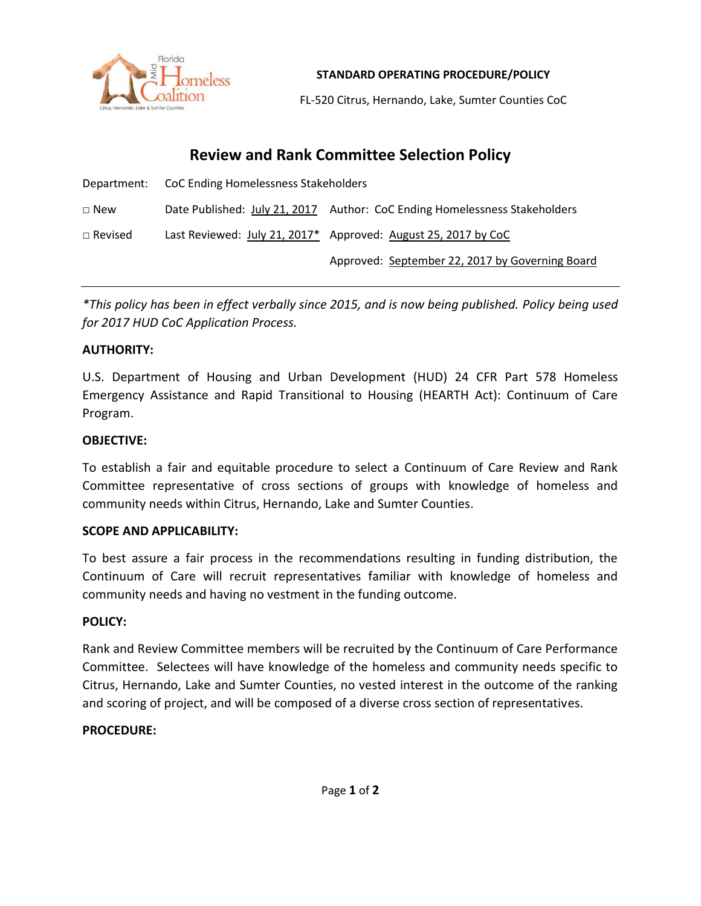

**STANDARD OPERATING PROCEDURE/POLICY**

FL-520 Citrus, Hernando, Lake, Sumter Counties CoC

# **Review and Rank Committee Selection Policy**

|                | Department: CoC Ending Homelessness Stakeholders |                                                                            |
|----------------|--------------------------------------------------|----------------------------------------------------------------------------|
| $\square$ New  |                                                  | Date Published: July 21, 2017 Author: CoC Ending Homelessness Stakeholders |
| $\Box$ Revised |                                                  | Last Reviewed: July 21, 2017* Approved: August 25, 2017 by CoC             |
|                |                                                  | Approved: September 22, 2017 by Governing Board                            |

*\*This policy has been in effect verbally since 2015, and is now being published. Policy being used for 2017 HUD CoC Application Process.*

## **AUTHORITY:**

U.S. Department of Housing and Urban Development (HUD) 24 CFR Part 578 Homeless Emergency Assistance and Rapid Transitional to Housing (HEARTH Act): Continuum of Care Program.

## **OBJECTIVE:**

To establish a fair and equitable procedure to select a Continuum of Care Review and Rank Committee representative of cross sections of groups with knowledge of homeless and community needs within Citrus, Hernando, Lake and Sumter Counties.

#### **SCOPE AND APPLICABILITY:**

To best assure a fair process in the recommendations resulting in funding distribution, the Continuum of Care will recruit representatives familiar with knowledge of homeless and community needs and having no vestment in the funding outcome.

#### **POLICY:**

Rank and Review Committee members will be recruited by the Continuum of Care Performance Committee. Selectees will have knowledge of the homeless and community needs specific to Citrus, Hernando, Lake and Sumter Counties, no vested interest in the outcome of the ranking and scoring of project, and will be composed of a diverse cross section of representatives.

# **PROCEDURE:**